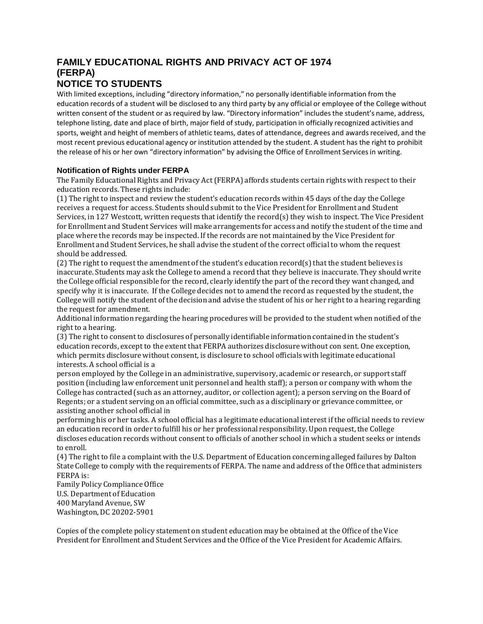## **FAMILY EDUCATIONAL RIGHTS AND PRIVACY ACT OF 1974 (FERPA) NOTICE TO STUDENTS**

With limited exceptions, including "directory information," no personally identifiable information from the education records of a student will be disclosed to any third party by any official or employee of the College without written consent of the student or as required by law. "Directory information" includes the student's name, address, telephone listing, date and place of birth, major field of study, participation in officially recognized activities and sports, weight and height of members of athletic teams, dates of attendance, degrees and awards received, and the most recent previous educational agency or institution attended by the student. A student has the right to prohibit the release of his or her own "directory information" by advising the Office of Enrollment Servicesin writing.

## **Notification of Rights under FERPA**

The Family Educational Rights and Privacy Act (FERPA) affords students certain rights with respect to their education records. These rights include:

(1) The right to inspect and review the student's education records within 45 days of the day the College receives a request for access. Students should submit to the Vice President for Enrollment and Student Services, in 127 Westcott, written requests that identify the record(s) they wish to inspect. The Vice President for Enrollment and Student Services will make arrangements for access and notify the student of the time and place where the records may be inspected. If the records are not maintained by the Vice President for Enrollment and Student Services, he shall advise the student of the correct official to whom the request should be addressed.

(2) The right to request the amendment of the student's education record(s) that the student believes is inaccurate. Students may ask the College to amend a record that they believe is inaccurate. They should write the College official responsible for the record, clearly identify the part of the record they want changed, and specify why it is inaccurate. If the College decides not to amend the record as requested by the student, the College will notify the student of the decision and advise the student of his or her right to a hearing regarding the request for amendment.

Additional information regarding the hearing procedures will be provided to the student when notified of the right to a hearing.

(3) The right to consent to disclosures of personally identifiable information contained in the student's education records, except to the extent that FERPA authorizes disclosure without con sent. One exception, which permits disclosure without consent, is disclosure to school officials with legitimate educational interests. A school official is a

person employed by the College in an administrative, supervisory, academic or research, or support staff position (including law enforcement unit personnel and health staff); a person or company with whom the College has contracted (such as an attorney, auditor, or collection agent); a person serving on the Board of Regents; or a student serving on an official committee, such as a disciplinary or grievance committee, or assisting another school official in

performing his or her tasks. A school official has a legitimate educational interest if the official needs to review an education record in order to fulfill his or her professional responsibility.Upon request, the College discloses education records without consent to officials of another school in which a student seeks or intends to enroll.

(4) The right to file a complaint with the U.S. Department of Education concerning alleged failures by Dalton State College to comply with the requirements of FERPA. The name and address of the Office that administers FERPA is:

Family Policy Compliance Office U.S. Department of Education 400 Maryland Avenue, SW Washington, DC 20202-5901

Copies of the complete policy statement on student education may be obtained at the Office of the Vice President for Enrollment and Student Services and the Office of the Vice President for Academic Affairs.